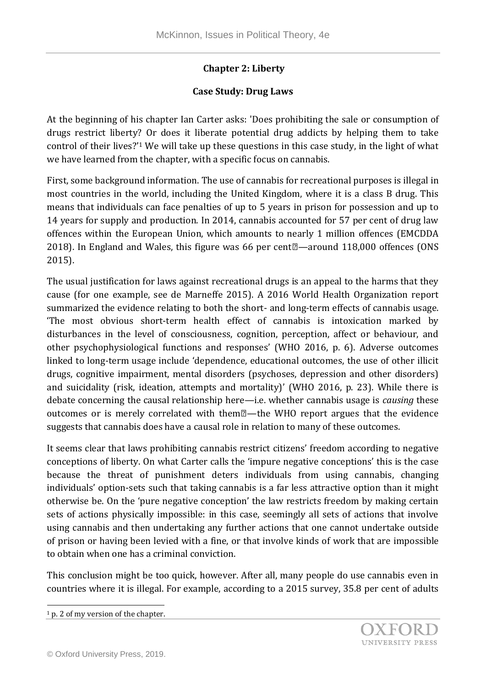## **Chapter 2: Liberty**

## **Case Study: Drug Laws**

At the beginning of his chapter Ian Carter asks: 'Does prohibiting the sale or consumption of drugs restrict liberty? Or does it liberate potential drug addicts by helping them to take control of their lives?'<sup>1</sup> We will take up these questions in this case study, in the light of what we have learned from the chapter, with a specific focus on cannabis.

First, some background information. The use of cannabis for recreational purposes is illegal in most countries in the world, including the United Kingdom, where it is a class B drug. This means that individuals can face penalties of up to 5 years in prison for possession and up to 14 years for supply and production. In 2014, cannabis accounted for 57 per cent of drug law offences within the European Union, which amounts to nearly 1 million offences (EMCDDA 2018). In England and Wales, this figure was 66 per cent $\mathbb{Z}$ —around 118,000 offences (ONS 2015).

The usual justification for laws against recreational drugs is an appeal to the harms that they cause (for one example, see de Marneffe 2015). A 2016 World Health Organization report summarized the evidence relating to both the short- and long-term effects of cannabis usage. 'The most obvious short-term health effect of cannabis is intoxication marked by disturbances in the level of consciousness, cognition, perception, affect or behaviour, and other psychophysiological functions and responses' (WHO 2016, p. 6). Adverse outcomes linked to long-term usage include 'dependence, educational outcomes, the use of other illicit drugs, cognitive impairment, mental disorders (psychoses, depression and other disorders) and suicidality (risk, ideation, attempts and mortality)' (WHO 2016, p. 23). While there is debate concerning the causal relationship here—i.e. whether cannabis usage is *causing* these outcomes or is merely correlated with them $\mathbb{Z}$ —the WHO report argues that the evidence suggests that cannabis does have a causal role in relation to many of these outcomes.

It seems clear that laws prohibiting cannabis restrict citizens' freedom according to negative conceptions of liberty. On what Carter calls the 'impure negative conceptions' this is the case because the threat of punishment deters individuals from using cannabis, changing individuals' option-sets such that taking cannabis is a far less attractive option than it might otherwise be. On the 'pure negative conception' the law restricts freedom by making certain sets of actions physically impossible: in this case, seemingly all sets of actions that involve using cannabis and then undertaking any further actions that one cannot undertake outside of prison or having been levied with a fine, or that involve kinds of work that are impossible to obtain when one has a criminal conviction.

This conclusion might be too quick, however. After all, many people do use cannabis even in countries where it is illegal. For example, according to a 2015 survey, 35.8 per cent of adults

l

<sup>&</sup>lt;sup>1</sup> p. 2 of my version of the chapter.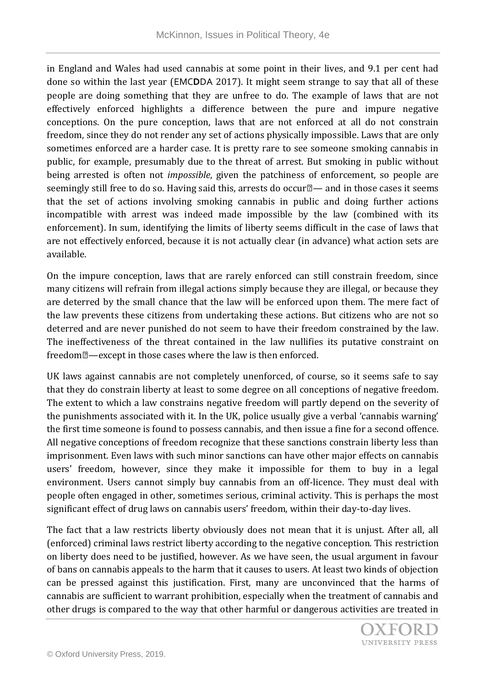in England and Wales had used cannabis at some point in their lives, and 9.1 per cent had done so within the last year (EMC**D**DA 2017). It might seem strange to say that all of these people are doing something that they are unfree to do. The example of laws that are not effectively enforced highlights a difference between the pure and impure negative conceptions. On the pure conception, laws that are not enforced at all do not constrain freedom, since they do not render any set of actions physically impossible. Laws that are only sometimes enforced are a harder case. It is pretty rare to see someone smoking cannabis in public, for example, presumably due to the threat of arrest. But smoking in public without being arrested is often not *impossible*, given the patchiness of enforcement, so people are seemingly still free to do so. Having said this, arrests do occur $\mathbb{Z}$  and in those cases it seems that the set of actions involving smoking cannabis in public and doing further actions incompatible with arrest was indeed made impossible by the law (combined with its enforcement). In sum, identifying the limits of liberty seems difficult in the case of laws that are not effectively enforced, because it is not actually clear (in advance) what action sets are available.

On the impure conception, laws that are rarely enforced can still constrain freedom, since many citizens will refrain from illegal actions simply because they are illegal, or because they are deterred by the small chance that the law will be enforced upon them. The mere fact of the law prevents these citizens from undertaking these actions. But citizens who are not so deterred and are never punished do not seem to have their freedom constrained by the law. The ineffectiveness of the threat contained in the law nullifies its putative constraint on freedom $\mathbb{Z}$ —except in those cases where the law is then enforced.

UK laws against cannabis are not completely unenforced, of course, so it seems safe to say that they do constrain liberty at least to some degree on all conceptions of negative freedom. The extent to which a law constrains negative freedom will partly depend on the severity of the punishments associated with it. In the UK, police usually give a verbal 'cannabis warning' the first time someone is found to possess cannabis, and then issue a fine for a second offence. All negative conceptions of freedom recognize that these sanctions constrain liberty less than imprisonment. Even laws with such minor sanctions can have other major effects on cannabis users' freedom, however, since they make it impossible for them to buy in a legal environment. Users cannot simply buy cannabis from an off-licence. They must deal with people often engaged in other, sometimes serious, criminal activity. This is perhaps the most significant effect of drug laws on cannabis users' freedom, within their day-to-day lives.

The fact that a law restricts liberty obviously does not mean that it is unjust. After all, all (enforced) criminal laws restrict liberty according to the negative conception. This restriction on liberty does need to be justified, however. As we have seen, the usual argument in favour of bans on cannabis appeals to the harm that it causes to users. At least two kinds of objection can be pressed against this justification. First, many are unconvinced that the harms of cannabis are sufficient to warrant prohibition, especially when the treatment of cannabis and other drugs is compared to the way that other harmful or dangerous activities are treated in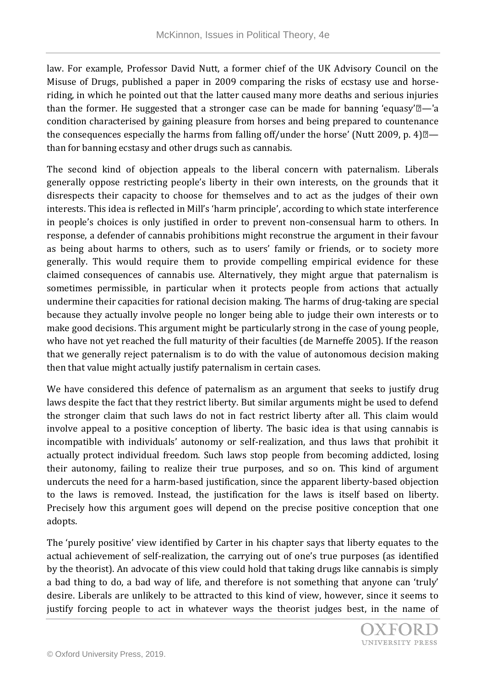law. For example, Professor David Nutt, a former chief of the UK Advisory Council on the Misuse of Drugs, published a paper in 2009 comparing the risks of ecstasy use and horseriding, in which he pointed out that the latter caused many more deaths and serious injuries than the former. He suggested that a stronger case can be made for banning 'equasy' $\mathbb{Z}$ -'a condition characterised by gaining pleasure from horses and being prepared to countenance the consequences especially the harms from falling off/under the horse' (Nutt 2009, p. 4) $\mathbb{Z}$ than for banning ecstasy and other drugs such as cannabis.

The second kind of objection appeals to the liberal concern with paternalism. Liberals generally oppose restricting people's liberty in their own interests, on the grounds that it disrespects their capacity to choose for themselves and to act as the judges of their own interests. This idea is reflected in Mill's 'harm principle', according to which state interference in people's choices is only justified in order to prevent non-consensual harm to others. In response, a defender of cannabis prohibitions might reconstrue the argument in their favour as being about harms to others, such as to users' family or friends, or to society more generally. This would require them to provide compelling empirical evidence for these claimed consequences of cannabis use. Alternatively, they might argue that paternalism is sometimes permissible, in particular when it protects people from actions that actually undermine their capacities for rational decision making. The harms of drug-taking are special because they actually involve people no longer being able to judge their own interests or to make good decisions. This argument might be particularly strong in the case of young people, who have not yet reached the full maturity of their faculties (de Marneffe 2005). If the reason that we generally reject paternalism is to do with the value of autonomous decision making then that value might actually justify paternalism in certain cases.

We have considered this defence of paternalism as an argument that seeks to justify drug laws despite the fact that they restrict liberty. But similar arguments might be used to defend the stronger claim that such laws do not in fact restrict liberty after all. This claim would involve appeal to a positive conception of liberty. The basic idea is that using cannabis is incompatible with individuals' autonomy or self-realization, and thus laws that prohibit it actually protect individual freedom. Such laws stop people from becoming addicted, losing their autonomy, failing to realize their true purposes, and so on. This kind of argument undercuts the need for a harm-based justification, since the apparent liberty-based objection to the laws is removed. Instead, the justification for the laws is itself based on liberty. Precisely how this argument goes will depend on the precise positive conception that one adopts.

The 'purely positive' view identified by Carter in his chapter says that liberty equates to the actual achievement of self-realization, the carrying out of one's true purposes (as identified by the theorist). An advocate of this view could hold that taking drugs like cannabis is simply a bad thing to do, a bad way of life, and therefore is not something that anyone can 'truly' desire. Liberals are unlikely to be attracted to this kind of view, however, since it seems to justify forcing people to act in whatever ways the theorist judges best, in the name of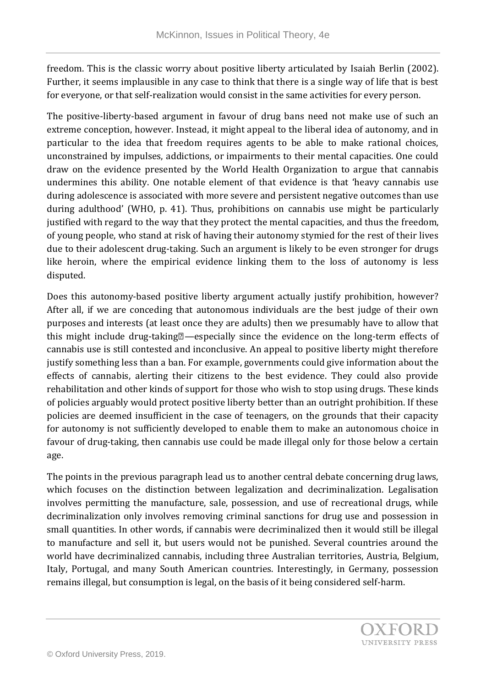freedom. This is the classic worry about positive liberty articulated by Isaiah Berlin (2002). Further, it seems implausible in any case to think that there is a single way of life that is best for everyone, or that self-realization would consist in the same activities for every person.

The positive-liberty-based argument in favour of drug bans need not make use of such an extreme conception, however. Instead, it might appeal to the liberal idea of autonomy, and in particular to the idea that freedom requires agents to be able to make rational choices, unconstrained by impulses, addictions, or impairments to their mental capacities. One could draw on the evidence presented by the World Health Organization to argue that cannabis undermines this ability. One notable element of that evidence is that 'heavy cannabis use during adolescence is associated with more severe and persistent negative outcomes than use during adulthood' (WHO, p. 41). Thus, prohibitions on cannabis use might be particularly justified with regard to the way that they protect the mental capacities, and thus the freedom, of young people, who stand at risk of having their autonomy stymied for the rest of their lives due to their adolescent drug-taking. Such an argument is likely to be even stronger for drugs like heroin, where the empirical evidence linking them to the loss of autonomy is less disputed.

Does this autonomy-based positive liberty argument actually justify prohibition, however? After all, if we are conceding that autonomous individuals are the best judge of their own purposes and interests (at least once they are adults) then we presumably have to allow that this might include drug-taking<sup>[2]</sup>—especially since the evidence on the long-term effects of cannabis use is still contested and inconclusive. An appeal to positive liberty might therefore justify something less than a ban. For example, governments could give information about the effects of cannabis, alerting their citizens to the best evidence. They could also provide rehabilitation and other kinds of support for those who wish to stop using drugs. These kinds of policies arguably would protect positive liberty better than an outright prohibition. If these policies are deemed insufficient in the case of teenagers, on the grounds that their capacity for autonomy is not sufficiently developed to enable them to make an autonomous choice in favour of drug-taking, then cannabis use could be made illegal only for those below a certain age.

The points in the previous paragraph lead us to another central debate concerning drug laws, which focuses on the distinction between legalization and decriminalization. Legalisation involves permitting the manufacture, sale, possession, and use of recreational drugs, while decriminalization only involves removing criminal sanctions for drug use and possession in small quantities. In other words, if cannabis were decriminalized then it would still be illegal to manufacture and sell it, but users would not be punished. Several countries around the world have decriminalized cannabis, including three Australian territories, Austria, Belgium, Italy, Portugal, and many South American countries. Interestingly, in Germany, possession remains illegal, but consumption is legal, on the basis of it being considered self-harm.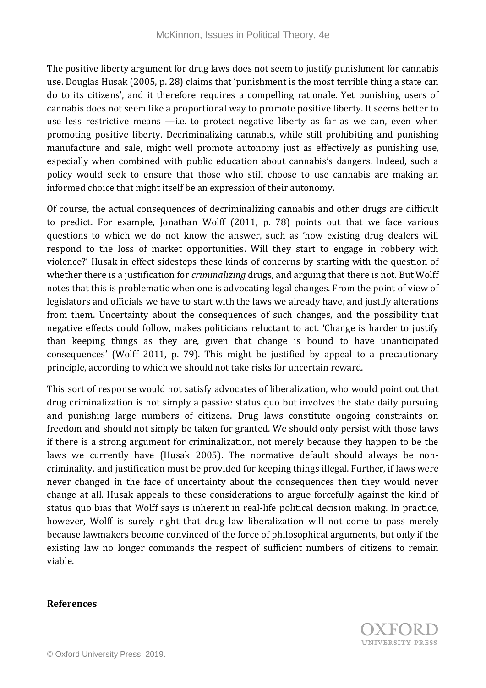The positive liberty argument for drug laws does not seem to justify punishment for cannabis use. Douglas Husak (2005, p. 28) claims that 'punishment is the most terrible thing a state can do to its citizens', and it therefore requires a compelling rationale. Yet punishing users of cannabis does not seem like a proportional way to promote positive liberty. It seems better to use less restrictive means —i.e. to protect negative liberty as far as we can, even when promoting positive liberty. Decriminalizing cannabis, while still prohibiting and punishing manufacture and sale, might well promote autonomy just as effectively as punishing use, especially when combined with public education about cannabis's dangers. Indeed, such a policy would seek to ensure that those who still choose to use cannabis are making an informed choice that might itself be an expression of their autonomy.

Of course, the actual consequences of decriminalizing cannabis and other drugs are difficult to predict. For example, Jonathan Wolff (2011, p. 78) points out that we face various questions to which we do not know the answer, such as 'how existing drug dealers will respond to the loss of market opportunities. Will they start to engage in robbery with violence?' Husak in effect sidesteps these kinds of concerns by starting with the question of whether there is a justification for *criminalizing* drugs, and arguing that there is not. But Wolff notes that this is problematic when one is advocating legal changes. From the point of view of legislators and officials we have to start with the laws we already have, and justify alterations from them. Uncertainty about the consequences of such changes, and the possibility that negative effects could follow, makes politicians reluctant to act. 'Change is harder to justify than keeping things as they are, given that change is bound to have unanticipated consequences' (Wolff 2011, p. 79). This might be justified by appeal to a precautionary principle, according to which we should not take risks for uncertain reward.

This sort of response would not satisfy advocates of liberalization, who would point out that drug criminalization is not simply a passive status quo but involves the state daily pursuing and punishing large numbers of citizens. Drug laws constitute ongoing constraints on freedom and should not simply be taken for granted. We should only persist with those laws if there is a strong argument for criminalization, not merely because they happen to be the laws we currently have (Husak 2005). The normative default should always be noncriminality, and justification must be provided for keeping things illegal. Further, if laws were never changed in the face of uncertainty about the consequences then they would never change at all. Husak appeals to these considerations to argue forcefully against the kind of status quo bias that Wolff says is inherent in real-life political decision making. In practice, however, Wolff is surely right that drug law liberalization will not come to pass merely because lawmakers become convinced of the force of philosophical arguments, but only if the existing law no longer commands the respect of sufficient numbers of citizens to remain viable.

## **References**